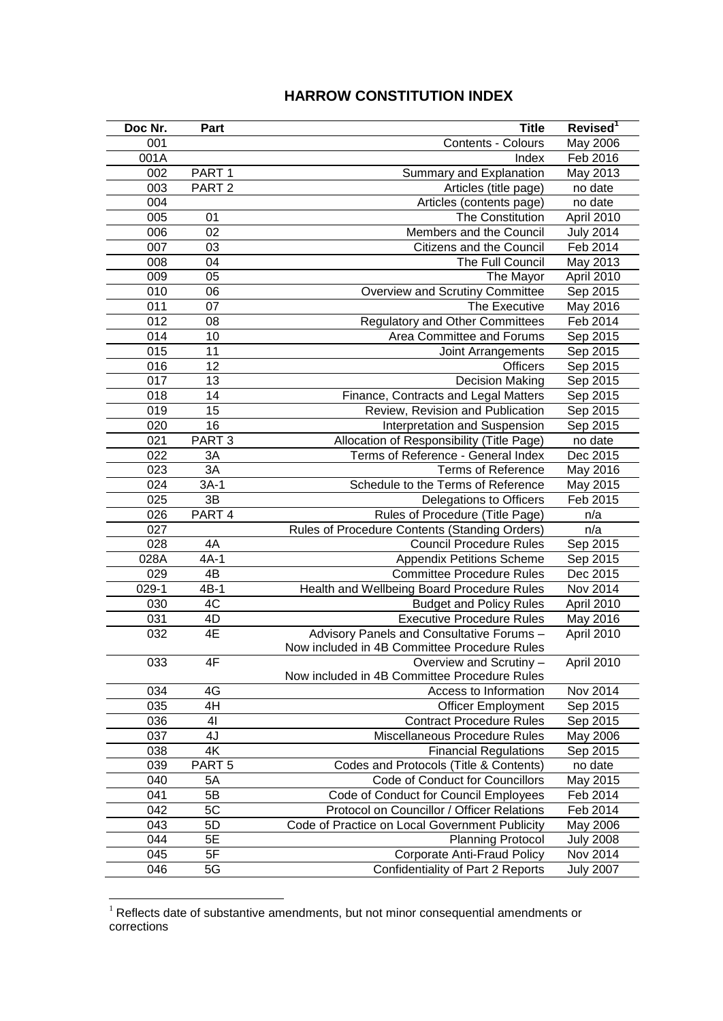## **HARROW CONSTITUTION INDEX**

| Doc Nr. | Part              | <b>Title</b>                                   | Revised <sup>1</sup> |
|---------|-------------------|------------------------------------------------|----------------------|
| 001     |                   | Contents - Colours                             | May 2006             |
| 001A    |                   | Index                                          | Feb 2016             |
| 002     | PART <sub>1</sub> | Summary and Explanation                        | May 2013             |
| 003     | PART <sub>2</sub> | Articles (title page)                          | no date              |
| 004     |                   | Articles (contents page)                       | no date              |
| 005     | 01                | The Constitution                               | April 2010           |
| 006     | 02                | Members and the Council                        | <b>July 2014</b>     |
| 007     | 03                | Citizens and the Council                       | Feb 2014             |
| 008     | 04                | The Full Council                               | May 2013             |
| 009     | 05                | The Mayor                                      | April 2010           |
| 010     | 06                | Overview and Scrutiny Committee                | Sep 2015             |
| 011     | 07                | The Executive                                  | May 2016             |
| 012     | 08                | <b>Regulatory and Other Committees</b>         | Feb 2014             |
| 014     | 10                | Area Committee and Forums                      | Sep 2015             |
| 015     | 11                | Joint Arrangements                             | Sep 2015             |
| 016     | 12                | <b>Officers</b>                                | Sep 2015             |
| 017     | 13                | <b>Decision Making</b>                         | Sep 2015             |
| 018     | 14                | Finance, Contracts and Legal Matters           | Sep 2015             |
| 019     | 15                | Review, Revision and Publication               | Sep 2015             |
| 020     | 16                | Interpretation and Suspension                  | Sep 2015             |
| 021     | PART <sub>3</sub> | Allocation of Responsibility (Title Page)      | no date              |
| 022     | 3A                | Terms of Reference - General Index             | Dec 2015             |
| 023     | 3A                | <b>Terms of Reference</b>                      | May 2016             |
| 024     | $3A-1$            | Schedule to the Terms of Reference             | May 2015             |
| 025     | 3B                | Delegations to Officers                        | Feb 2015             |
| 026     | PART 4            | Rules of Procedure (Title Page)                | n/a                  |
| 027     |                   | Rules of Procedure Contents (Standing Orders)  | n/a                  |
| 028     | 4A                | <b>Council Procedure Rules</b>                 | Sep 2015             |
| 028A    | $4A-1$            | <b>Appendix Petitions Scheme</b>               | Sep 2015             |
| 029     | $4\overline{B}$   | <b>Committee Procedure Rules</b>               | Dec 2015             |
| 029-1   | $4B-1$            | Health and Wellbeing Board Procedure Rules     | Nov 2014             |
| 030     | 4C                | <b>Budget and Policy Rules</b>                 | April 2010           |
| 031     | 4D                | <b>Executive Procedure Rules</b>               | May 2016             |
| 032     | 4E                | Advisory Panels and Consultative Forums -      | April 2010           |
|         |                   | Now included in 4B Committee Procedure Rules   |                      |
| 033     | 4F                | Overview and Scrutiny -                        | April 2010           |
|         |                   | Now included in 4B Committee Procedure Rules   |                      |
| 034     | 4G                | Access to Information                          | Nov 2014             |
| 035     | 4H                | <b>Officer Employment</b>                      | Sep 2015             |
| 036     | 41                | <b>Contract Procedure Rules</b>                | Sep 2015             |
| 037     | 4J                | Miscellaneous Procedure Rules                  | May 2006             |
| 038     | 4K                | <b>Financial Regulations</b>                   | Sep 2015             |
| 039     | PART <sub>5</sub> | Codes and Protocols (Title & Contents)         | no date              |
| 040     | 5A                | Code of Conduct for Councillors                | May 2015             |
| 041     | 5B                | Code of Conduct for Council Employees          | Feb 2014             |
| 042     | 5C                | Protocol on Councillor / Officer Relations     | Feb 2014             |
| 043     | 5D                | Code of Practice on Local Government Publicity | May 2006             |
| 044     | 5E                | <b>Planning Protocol</b>                       | <b>July 2008</b>     |
| 045     | 5F                | <b>Corporate Anti-Fraud Policy</b>             | Nov 2014             |
| 046     | 5G                | Confidentiality of Part 2 Reports              | <b>July 2007</b>     |

 Reflects date of substantive amendments, but not minor consequential amendments or corrections

<u>.</u>